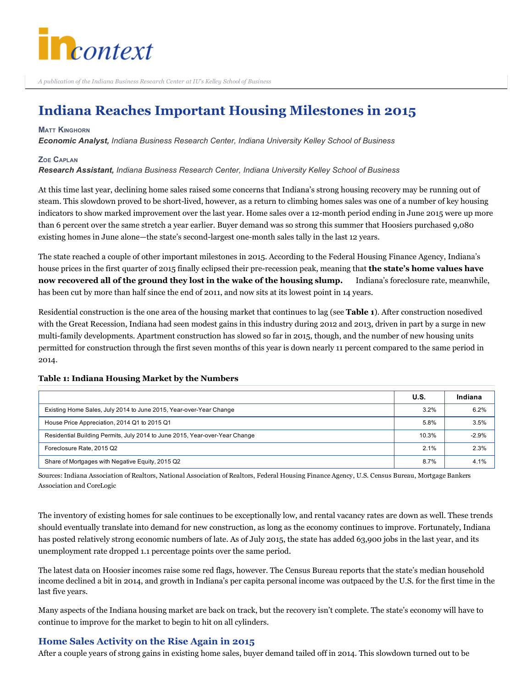

A publication of the Indiana Business Research Center at IU's Kelley School of Business

# Indiana Reaches Important Housing Milestones in 2015

#### **MATT KINGHORN**

*Economic Analyst, Indiana Business Research Center, Indiana University Kelley School of Business*

#### ZOE CAPLAN

*Research Assistant, Indiana Business Research Center, Indiana University Kelley School of Business*

At this time last year, declining home sales raised some concerns that Indiana's strong housing recovery may be running out of steam. This slowdown proved to be short-lived, however, as a return to climbing homes sales was one of a number of key housing indicators to show marked improvement over the last year. Home sales over a 12-month period ending in June 2015 were up more than 6 percent over the same stretch a year earlier. Buyer demand was so strong this summer that Hoosiers purchased 9,080 existing homes in June alone—the state's second-largest one-month sales tally in the last 12 years.

The state reached a couple of other important milestones in 2015. According to the Federal Housing Finance Agency, Indiana's house prices in the first quarter of 2015 finally eclipsed their pre-recession peak, meaning that the state's home values have now recovered all of the ground they lost in the wake of the housing slump. Indiana's foreclosure rate, meanwhile, has been cut by more than half since the end of 2011, and now sits at its lowest point in 14 years.

Residential construction is the one area of the housing market that continues to lag (see Table 1). After construction nosedived with the Great Recession, Indiana had seen modest gains in this industry during 2012 and 2013, driven in part by a surge in new multi-family developments. Apartment construction has slowed so far in 2015, though, and the number of new housing units permitted for construction through the first seven months of this year is down nearly 11 percent compared to the same period in 2014.

# Table 1: Indiana Housing Market by the Numbers

|                                                                             | U.S.  | Indiana |
|-----------------------------------------------------------------------------|-------|---------|
| Existing Home Sales, July 2014 to June 2015, Year-over-Year Change          | 3.2%  | 6.2%    |
| House Price Appreciation, 2014 Q1 to 2015 Q1                                | 5.8%  | 3.5%    |
| Residential Building Permits, July 2014 to June 2015, Year-over-Year Change | 10.3% | $-2.9%$ |
| Foreclosure Rate, 2015 Q2                                                   | 2.1%  | 2.3%    |
| Share of Mortgages with Negative Equity, 2015 Q2                            | 8.7%  | 4.1%    |

Sources: Indiana Association of Realtors, National Association of Realtors, Federal Housing Finance Agency, U.S. Census Bureau, Mortgage Bankers Association and CoreLogic

The inventory of existing homes for sale continues to be exceptionally low, and rental vacancy rates are down as well. These trends should eventually translate into demand for new construction, as long as the economy continues to improve. Fortunately, Indiana has posted relatively strong economic numbers of late. As of July 2015, the state has added 63,900 jobs in the last year, and its unemployment rate dropped 1.1 percentage points over the same period.

The latest data on Hoosier incomes raise some red flags, however. The Census Bureau reports that the state's median household income declined a bit in 2014, and growth in Indiana's per capita personal income was outpaced by the U.S. for the first time in the last five years.

Many aspects of the Indiana housing market are back on track, but the recovery isn't complete. The state's economy will have to continue to improve for the market to begin to hit on all cylinders.

## Home Sales Activity on the Rise Again in 2015

After a couple years of strong gains in existing home sales, buyer demand tailed off in 2014. This slowdown turned out to be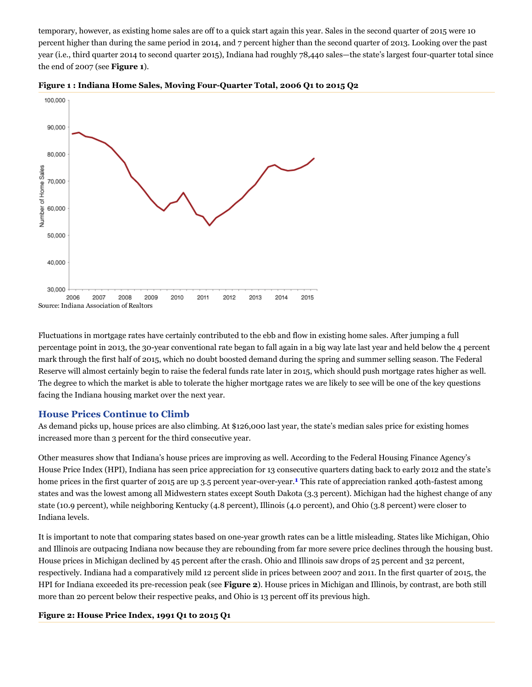temporary, however, as existing home sales are off to a quick start again this year. Sales in the second quarter of 2015 were 10 percent higher than during the same period in 2014, and 7 percent higher than the second quarter of 2013. Looking over the past year (i.e., third quarter 2014 to second quarter 2015), Indiana had roughly 78,440 sales—the state's largest four-quarter total since the end of 2007 (see Figure 1).





Fluctuations in mortgage rates have certainly contributed to the ebb and flow in existing home sales. After jumping a full percentage point in 2013, the 30-year conventional rate began to fall again in a big way late last year and held below the 4 percent mark through the first half of 2015, which no doubt boosted demand during the spring and summer selling season. The Federal Reserve will almost certainly begin to raise the federal funds rate later in 2015, which should push mortgage rates higher as well. The degree to which the market is able to tolerate the higher mortgage rates we are likely to see will be one of the key questions facing the Indiana housing market over the next year.

## House Prices Continue to Climb

As demand picks up, house prices are also climbing. At \$126,000 last year, the state's median sales price for existing homes increased more than 3 percent for the third consecutive year.

Other measures show that Indiana's house prices are improving as well. According to the Federal Housing Finance Agency's House Price Index (HPI), Indiana has seen price appreciation for 13 consecutive quarters dating back to early 2012 and the state's home prices in the first quarter of 2015 are up 3.5 percent year-over-year.<sup>1</sup> This rate of appreciation ranked 40th-fastest among states and was the lowest among all Midwestern states except South Dakota (3.3 percent). Michigan had the highest change of any state (10.9 percent), while neighboring Kentucky (4.8 percent), Illinois (4.0 percent), and Ohio (3.8 percent) were closer to Indiana levels.

It is important to note that comparing states based on oneyear growth rates can be a little misleading. States like Michigan, Ohio and Illinois are outpacing Indiana now because they are rebounding from far more severe price declines through the housing bust. House prices in Michigan declined by 45 percent after the crash. Ohio and Illinois saw drops of 25 percent and 32 percent, respectively. Indiana had a comparatively mild 12 percent slide in prices between 2007 and 2011. In the first quarter of 2015, the HPI for Indiana exceeded its pre-recession peak (see Figure 2). House prices in Michigan and Illinois, by contrast, are both still more than 20 percent below their respective peaks, and Ohio is 13 percent off its previous high.

#### Figure 2: House Price Index, 1991 Q1 to 2015 Q1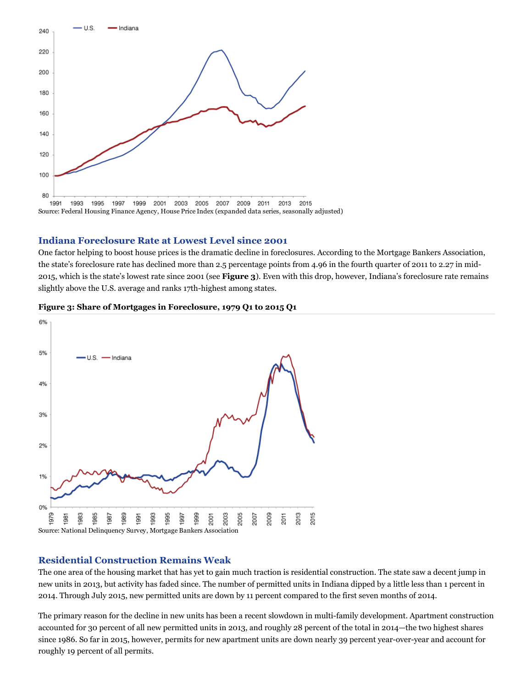

### Indiana Foreclosure Rate at Lowest Level since 2001

One factor helping to boost house prices is the dramatic decline in foreclosures. According to the Mortgage Bankers Association, the state's foreclosure rate has declined more than 2.5 percentage points from 4.96 in the fourth quarter of 2011 to 2.27 in mid-2015, which is the state's lowest rate since 2001 (see Figure 3). Even with this drop, however, Indiana's foreclosure rate remains slightly above the U.S. average and ranks 17th-highest among states.



#### Figure 3: Share of Mortgages in Foreclosure, 1979 Q1 to 2015 Q1

#### Residential Construction Remains Weak

The one area of the housing market that has yet to gain much traction is residential construction. The state saw a decent jump in new units in 2013, but activity has faded since. The number of permitted units in Indiana dipped by a little less than 1 percent in 2014. Through July 2015, new permitted units are down by 11 percent compared to the first seven months of 2014.

The primary reason for the decline in new units has been a recent slowdown in multi-family development. Apartment construction accounted for 30 percent of all new permitted units in 2013, and roughly 28 percent of the total in 2014—the two highest shares since 1986. So far in 2015, however, permits for new apartment units are down nearly 39 percent year-over-year and account for roughly 19 percent of all permits.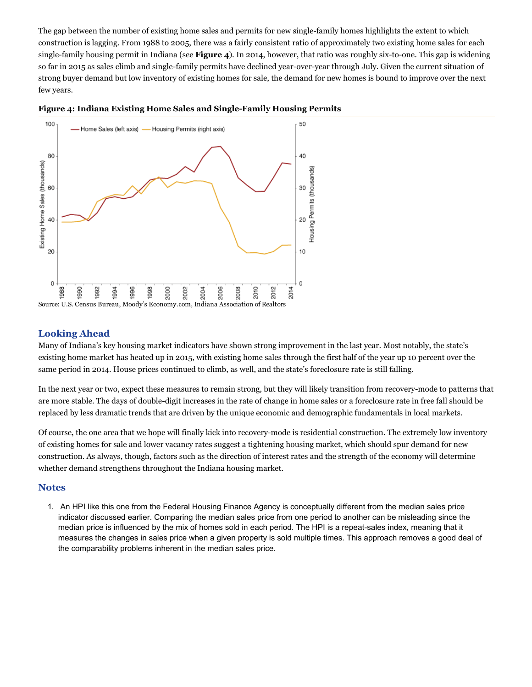The gap between the number of existing home sales and permits for new single-family homes highlights the extent to which construction is lagging. From 1988 to 2005, there was a fairly consistent ratio of approximately two existing home sales for each single-family housing permit in Indiana (see Figure 4). In 2014, however, that ratio was roughly six-to-one. This gap is widening so far in 2015 as sales climb and single-family permits have declined year-over-year through July. Given the current situation of strong buyer demand but low inventory of existing homes for sale, the demand for new homes is bound to improve over the next few years.





# Looking Ahead

Many of Indiana's key housing market indicators have shown strong improvement in the last year. Most notably, the state's existing home market has heated up in 2015, with existing home sales through the first half of the year up 10 percent over the same period in 2014. House prices continued to climb, as well, and the state's foreclosure rate is still falling.

In the next year or two, expect these measures to remain strong, but they will likely transition from recovery-mode to patterns that are more stable. The days of double-digit increases in the rate of change in home sales or a foreclosure rate in free fall should be replaced by less dramatic trends that are driven by the unique economic and demographic fundamentals in local markets.

Of course, the one area that we hope will finally kick into recoverymode is residential construction. The extremely low inventory of existing homes for sale and lower vacancy rates suggest a tightening housing market, which should spur demand for new construction. As always, though, factors such as the direction of interest rates and the strength of the economy will determine whether demand strengthens throughout the Indiana housing market.

## **Notes**

1. An HPI like this one from the Federal Housing Finance Agency is conceptually different from the median sales price indicator discussed earlier. Comparing the median sales price from one period to another can be misleading since the median price is influenced by the mix of homes sold in each period. The HPI is a repeat-sales index, meaning that it measures the changes in sales price when a given property is sold multiple times. This approach removes a good deal of the comparability problems inherent in the median sales price.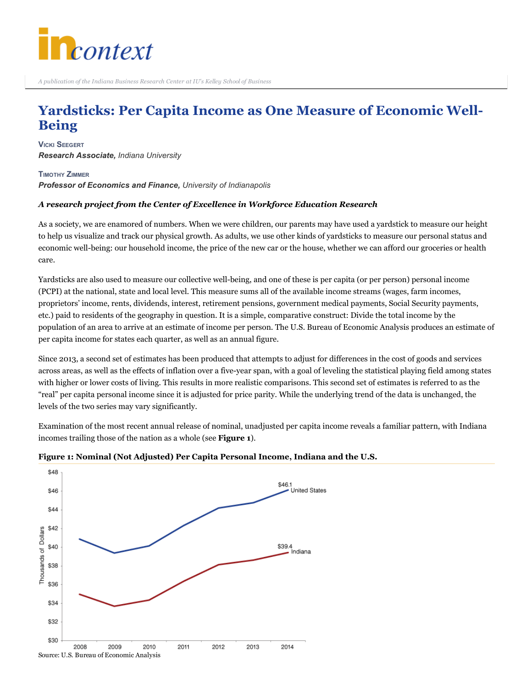

# Yardsticks: Per Capita Income as One Measure of Economic Well-Being

VICKI SEEGERT *Research Associate, Indiana University*

TIMOTHY ZIMMER *Professor of Economics and Finance, University of Indianapolis*

## A research project from the Center of Excellence in Workforce Education Research

As a society, we are enamored of numbers. When we were children, our parents may have used a yardstick to measure our height to help us visualize and track our physical growth. As adults, we use other kinds of yardsticks to measure our personal status and economic well-being: our household income, the price of the new car or the house, whether we can afford our groceries or health care.

Yardsticks are also used to measure our collective well-being, and one of these is per capita (or per person) personal income (PCPI) at the national, state and local level. This measure sums all of the available income streams (wages, farm incomes, proprietors' income, rents, dividends, interest, retirement pensions, government medical payments, Social Security payments, etc.) paid to residents of the geography in question. It is a simple, comparative construct: Divide the total income by the population of an area to arrive at an estimate of income per person. The U.S. Bureau of Economic Analysis produces an estimate of per capita income for states each quarter, as well as an annual figure.

Since 2013, a second set of estimates has been produced that attempts to adjust for differences in the cost of goods and services across areas, as well as the effects of inflation over a five-year span, with a goal of leveling the statistical playing field among states with higher or lower costs of living. This results in more realistic comparisons. This second set of estimates is referred to as the "real" per capita personal income since it is adjusted for price parity. While the underlying trend of the data is unchanged, the levels of the two series may vary significantly.

Examination of the most recent annual release of nominal, unadjusted per capita income reveals a familiar pattern, with Indiana incomes trailing those of the nation as a whole (see Figure 1).



## Figure 1: Nominal (Not Adjusted) Per Capita Personal Income, Indiana and the U.S.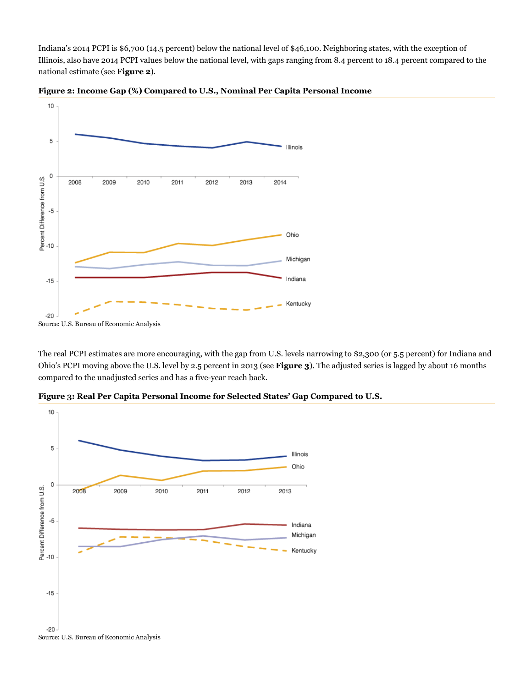Indiana's 2014 PCPI is \$6,700 (14.5 percent) below the national level of \$46,100. Neighboring states, with the exception of Illinois, also have 2014 PCPI values below the national level, with gaps ranging from 8.4 percent to 18.4 percent compared to the national estimate (see Figure 2).



Figure 2: Income Gap (%) Compared to U.S., Nominal Per Capita Personal Income

The real PCPI estimates are more encouraging, with the gap from U.S. levels narrowing to \$2,300 (or 5.5 percent) for Indiana and Ohio's PCPI moving above the U.S. level by 2.5 percent in 2013 (see Figure 3). The adjusted series is lagged by about 16 months compared to the unadjusted series and has a five-year reach back.